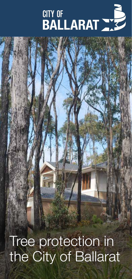# **CITY OF BALLARAT WE**

Tree protection in the City of Ballarat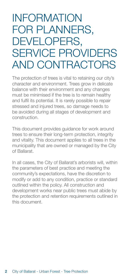### INFORMATION FOR PLANNERS, DEVELOPERS, SERVICE PROVIDERS AND CONTRACTORS

The protection of trees is vital to retaining our city's character and environment. Trees grow in delicate balance with their environment and any changes must be minimised if the tree is to remain healthy and fulfil its potential. It is rarely possible to repair stressed and injured trees, so damage needs to be avoided during all stages of development and construction.

This document provides guidance for work around trees to ensure their long-term protection, integrity and vitality. This document applies to all trees in the municipality that are owned or managed by the City of Ballarat.

In all cases, the City of Ballarat's arborists will, within the parameters of best practice and meeting the community's expectations, have the discretion to modify or add to any condition, practice or standard outlined within the policy. All construction and development works near public trees must abide by the protection and retention requirements outlined in this document.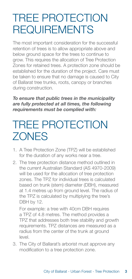## TREE PROTECTION REQUIREMENTS

The most important consideration for the successful retention of trees is to allow appropriate above and below ground space for the trees to continue to grow. This requires the allocation of Tree Protection Zones for retained trees. A protection zone should be established for the duration of the project. Care must be taken to ensure that no damage is caused to City of Ballarat tree trunks, roots, canopy or branches during construction.

*To ensure that public trees in the municipality are fully protected at all times, the following requirements must be complied with:*

## TREE PROTECTION **ZONES**

- 1. A Tree Protection Zone (TPZ) will be established for the duration of any works near a tree.
- 2. The tree protection distance method outlined in the current Australian Standard (AS 4970-2009) will be used for the allocation of tree protection zones. The TPZ for individual trees is calculated based on trunk (stem) diameter (DBH), measured at 1.4 metres up from ground level. The radius of the TPZ is calculated by multiplying the tree's DBH by 12.

For example: a tree with 40cm DBH requires a TPZ of 4.8 metres. The method provides a TPZ that addresses both tree stability and growth requirements. TPZ distances are measured as a radius from the center of the trunk at ground level.

3. The City of Ballarat's arborist must approve any modification to a tree protection zone.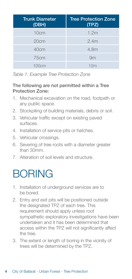| <b>Trunk Diameter</b><br>(DBH) | <b>Tree Protection Zone</b><br>(TPZ) |
|--------------------------------|--------------------------------------|
| 10 <sub>cm</sub>               | 1.2m                                 |
| 20cm                           | 2.4m                                 |
| 40cm                           | 4.8m                                 |
| 75cm                           | 9m                                   |
| 100cm                          | 12 <sub>m</sub>                      |

*Table 1: Example Tree Protection Zone*

#### The following are not permitted within a Tree Protection Zone:

- 1. Mechanical excavation on the road, footpath or any public space.
- 2. Stockpiling of building materials, debris or soil.
- 3. Vehicular traffic except on existing paved surfaces.
- 4. Installation of service pits or hatches.
- 5. Vehicular crossings.
- 6. Severing of tree roots with a diameter greater than 30mm.
- 7. Alteration of soil levels and structure.

## BORING

- 1. Installation of underground services are to be bored.
- 2. Entry and exit pits will be positioned outside the designated TPZ of each tree. This requirement should apply unless root sympathetic exploratory investigations have been undertaken and it has been determined that access within the TPZ will not significantly affect the tree.
- 3. The extent or length of boring in the vicinity of trees will be determined by the TPZ.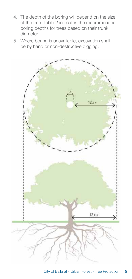- 4. The depth of the boring will depend on the size of the tree. Table 2 indicates the recommended boring depths for trees based on their trunk diameter.
- 5. Where boring is unavailable, excavation shall be by hand or non-destructive digging.

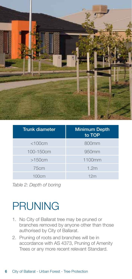

| <b>Trunk diameter</b> | <b>Minimum Depth</b><br>to TOP |
|-----------------------|--------------------------------|
| $<$ 100 $cm$          | 800mm                          |
| 100-150cm             | 950mm                          |
| >150cm                | 1100mm                         |
| 75cm                  | 1.2m                           |
| 100cm                 | 12 <sub>m</sub>                |

*Table 2: Depth of boring*

## PRUNING

- 1. No City of Ballarat tree may be pruned or branches removed by anyone other than those authorised by City of Ballarat.
- 2. Pruning of roots and branches will be in accordance with AS 4373, Pruning of Amenity Trees or any more recent relevant Standard.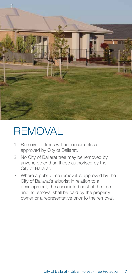

## **REMOVAL**

- 1. Removal of trees will not occur unless approved by City of Ballarat.
- 2. No City of Ballarat tree may be removed by anyone other than those authorised by the City of Ballarat.
- 3. Where a public tree removal is approved by the City of Ballarat's arborist in relation to a development, the associated cost of the tree and its removal shall be paid by the property owner or a representative prior to the removal.